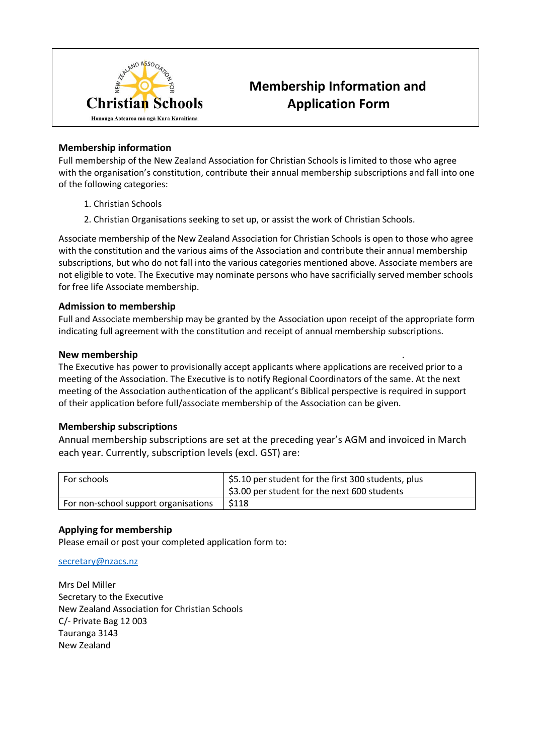

# **Membership Information and Application Form**

## **Membership information**

Full membership of the New Zealand Association for Christian Schools is limited to those who agree with the organisation's constitution, contribute their annual membership subscriptions and fall into one of the following categories:

- 1. Christian Schools
- 2. Christian Organisations seeking to set up, or assist the work of Christian Schools.

Associate membership of the New Zealand Association for Christian Schools is open to those who agree with the constitution and the various aims of the Association and contribute their annual membership subscriptions, but who do not fall into the various categories mentioned above. Associate members are not eligible to vote. The Executive may nominate persons who have sacrificially served member schools for free life Associate membership.

### **Admission to membership**

Full and Associate membership may be granted by the Association upon receipt of the appropriate form indicating full agreement with the constitution and receipt of annual membership subscriptions.

### **New membership** .

The Executive has power to provisionally accept applicants where applications are received prior to a meeting of the Association. The Executive is to notify Regional Coordinators of the same. At the next meeting of the Association authentication of the applicant's Biblical perspective is required in support of their application before full/associate membership of the Association can be given.

## **Membership subscriptions**

Annual membership subscriptions are set at the preceding year's AGM and invoiced in March each year. Currently, subscription levels (excl. GST) are:

| For schools                          | \$5.10 per student for the first 300 students, plus<br>\$3.00 per student for the next 600 students |
|--------------------------------------|-----------------------------------------------------------------------------------------------------|
| For non-school support organisations | \$118                                                                                               |

## **Applying for membership**

Please email or post your completed application form to:

#### [secretary@nzacs.nz](mailto:secretary@nzacs.nz)

Mrs Del Miller Secretary to the Executive New Zealand Association for Christian Schools C/- Private Bag 12 003 Tauranga 3143 New Zealand